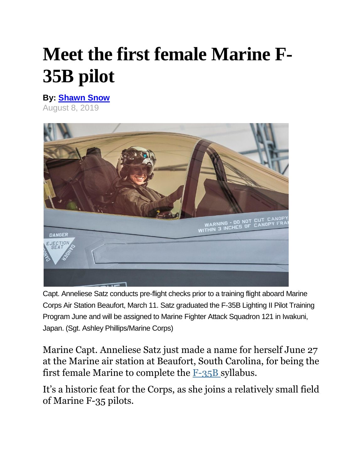## **Meet the first female Marine F-35B pilot**

**By: [Shawn Snow](https://www.marinecorpstimes.com/author/shawn-snow)** August 8, 2019



Capt. Anneliese Satz conducts pre-flight checks prior to a training flight aboard Marine Corps Air Station Beaufort, March 11. Satz graduated the F-35B Lighting II Pilot Training Program June and will be assigned to Marine Fighter Attack Squadron 121 in Iwakuni, Japan. (Sgt. Ashley Phillips/Marine Corps)

Marine Capt. Anneliese Satz just made a name for herself June 27 at the Marine air station at Beaufort, South Carolina, for being the first female Marine to complete the [F-35B](https://www.marinecorpstimes.com/congress/2019/04/01/99-house-lawmakers-urge-more-f-35s/) syllabus.

It's a historic feat for the Corps, as she joins a relatively small field of Marine F-35 pilots.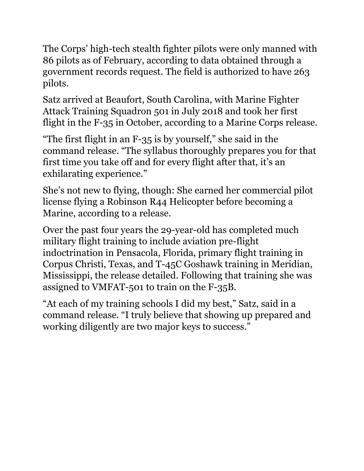The Corps' high-tech stealth fighter pilots were only manned with 86 pilots as of February, according to data obtained through a government records request. The field is authorized to have 263 pilots.

Satz arrived at Beaufort, South Carolina, with Marine Fighter Attack Training Squadron 501 in July 2018 and took her first flight in the F-35 in October, according to a Marine Corps release.

"The first flight in an F-35 is by yourself," she said in the command release. "The syllabus thoroughly prepares you for that first time you take off and for every flight after that, it's an exhilarating experience."

She's not new to flying, though: She earned her commercial pilot license flying a Robinson R44 Helicopter before becoming a Marine, according to a release.

Over the past four years the 29-year-old has completed much military flight training to include aviation pre-flight indoctrination in Pensacola, Florida, primary flight training in Corpus Christi, Texas, and T-45C Goshawk training in Meridian, Mississippi, the release detailed. Following that training she was assigned to VMFAT-501 to train on the F-35B.

"At each of my training schools I did my best," Satz, said in a command release. "I truly believe that showing up prepared and working diligently are two major keys to success."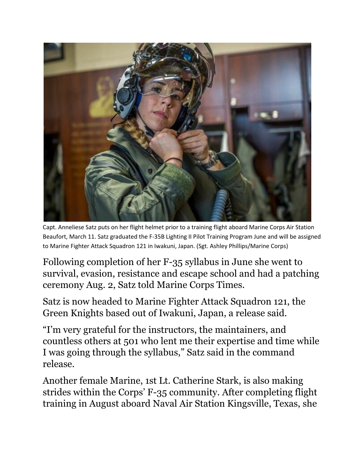

Capt. Anneliese Satz puts on her flight helmet prior to a training flight aboard Marine Corps Air Station Beaufort, March 11. Satz graduated the F-35B Lighting II Pilot Training Program June and will be assigned to Marine Fighter Attack Squadron 121 in Iwakuni, Japan. (Sgt. Ashley Phillips/Marine Corps)

Following completion of her F-35 syllabus in June she went to survival, evasion, resistance and escape school and had a patching ceremony Aug. 2, Satz told Marine Corps Times.

Satz is now headed to Marine Fighter Attack Squadron 121, the Green Knights based out of Iwakuni, Japan, a release said.

"I'm very grateful for the instructors, the maintainers, and countless others at 501 who lent me their expertise and time while I was going through the syllabus," Satz said in the command release.

Another female Marine, 1st Lt. Catherine Stark, is also making strides within the Corps' F-35 community. After completing flight training in August aboard Naval Air Station Kingsville, Texas, she